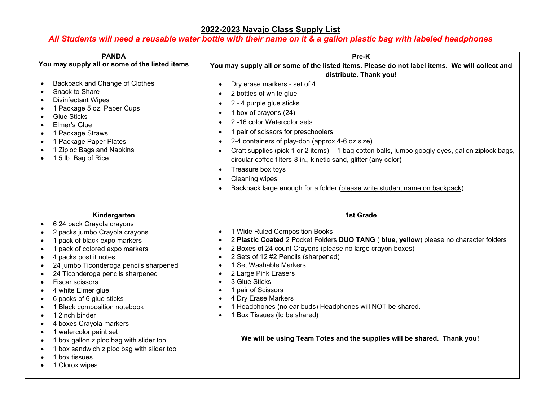## **2022-2023 Navajo Class Supply List**

## *All Students will need a reusable water bottle with their name on it & a gallon plastic bag with labeled headphones*

| <b>PANDA</b><br>You may supply all or some of the listed items<br>Backpack and Change of Clothes<br>Snack to Share<br><b>Disinfectant Wipes</b><br>1 Package 5 oz. Paper Cups<br><b>Glue Sticks</b><br>Elmer's Glue<br>1 Package Straws<br>1 Package Paper Plates<br>1 Ziploc Bags and Napkins<br>15 lb. Bag of Rice                                                                                                                                                                                                                                       | Pre-K<br>You may supply all or some of the listed items. Please do not label items. We will collect and<br>distribute. Thank you!<br>Dry erase markers - set of 4<br>$\bullet$<br>2 bottles of white glue<br>$\bullet$<br>2 - 4 purple glue sticks<br>$\bullet$<br>1 box of crayons (24)<br>2-16 color Watercolor sets<br>1 pair of scissors for preschoolers<br>2-4 containers of play-doh (approx 4-6 oz size)<br>$\bullet$<br>Craft supplies (pick 1 or 2 items) - 1 bag cotton balls, jumbo googly eyes, gallon ziplock bags,<br>$\bullet$<br>circular coffee filters-8 in., kinetic sand, glitter (any color)<br>Treasure box toys<br>$\bullet$<br>Cleaning wipes<br>$\bullet$<br>Backpack large enough for a folder (please write student name on backpack) |
|------------------------------------------------------------------------------------------------------------------------------------------------------------------------------------------------------------------------------------------------------------------------------------------------------------------------------------------------------------------------------------------------------------------------------------------------------------------------------------------------------------------------------------------------------------|-------------------------------------------------------------------------------------------------------------------------------------------------------------------------------------------------------------------------------------------------------------------------------------------------------------------------------------------------------------------------------------------------------------------------------------------------------------------------------------------------------------------------------------------------------------------------------------------------------------------------------------------------------------------------------------------------------------------------------------------------------------------|
| Kindergarten<br>6 24 pack Crayola crayons<br>2 packs jumbo Crayola crayons<br>1 pack of black expo markers<br>1 pack of colored expo markers<br>4 packs post it notes<br>24 jumbo Ticonderoga pencils sharpened<br>24 Ticonderoga pencils sharpened<br>Fiscar scissors<br>4 white Elmer glue<br>6 packs of 6 glue sticks<br>1 Black composition notebook<br>1 2inch binder<br>4 boxes Crayola markers<br>1 watercolor paint set<br>1 box gallon ziploc bag with slider top<br>1 box sandwich ziploc bag with slider too<br>1 box tissues<br>1 Clorox wipes | 1st Grade<br>1 Wide Ruled Composition Books<br>2 Plastic Coated 2 Pocket Folders DUO TANG (blue, yellow) please no character folders<br>$\bullet$<br>2 Boxes of 24 count Crayons (please no large crayon boxes)<br>$\bullet$<br>2 Sets of 12 #2 Pencils (sharpened)<br>$\bullet$<br>1 Set Washable Markers<br>$\bullet$<br>2 Large Pink Erasers<br>3 Glue Sticks<br>$\bullet$<br>1 pair of Scissors<br>$\bullet$<br>4 Dry Erase Markers<br>$\bullet$<br>1 Headphones (no ear buds) Headphones will NOT be shared.<br>$\bullet$<br>1 Box Tissues (to be shared)<br>We will be using Team Totes and the supplies will be shared. Thank you!                                                                                                                         |